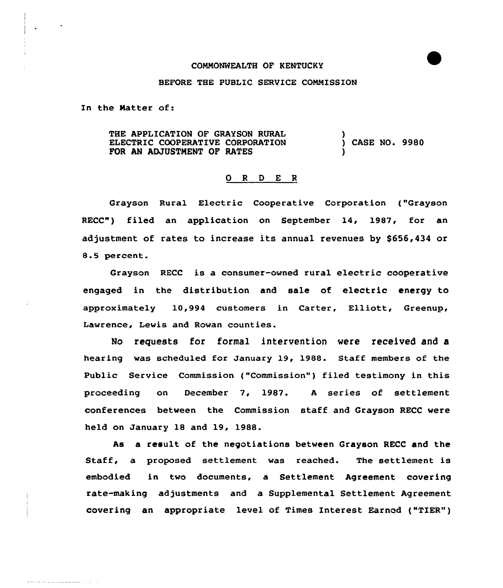#### COMMONWEALTH OF KENTUCKY

### BEFORE THE PUBLIC SERVICE COMMISSION

In the Matter of:

where the company and company

THE APPLICATION OF GRAYSON RURAL ELECTRIC COOPERATIVE CORPORATION FOR AN ADJUSTMENT OF RATES ) ) CASE NO. 9980 )

#### 0 <sup>R</sup> <sup>D</sup> E <sup>R</sup>

Grayson Rural Electric Cooperative Corporation ("Grayson RECC") filed an application on September 14, 1987, for an adjustment of rates to increase its annual revenues by \$656,434 or 8.5 percent.

Grayson RECC is a consumer-owned rural electric cooperative engaged in the distribution and sale of electric energy to approximately 10,994 customers in Carter, Elliott, Greenup, Lawrence, Lewis and Rowan counties.

No requests for formal intervention were received and a hearing was scheduled for January 19, 1988. Staff members of the Public Service Commission ("Commission") filed testimony in this proceeding on December 7, 1987. <sup>A</sup> series of settlement conferences between the Commission staff and Grayson RECC were held on January 18 and 19, 1988.

As a result of the negotiations between Grayson RECC and the Staff, a proposed settlement was reached. The settlement is embodied in two documents, a Settlement Agreement covering rate-making adjustments and a Supplemental Settlement Agreement covering an appropriate level of Times Interest Earned ("TIER" )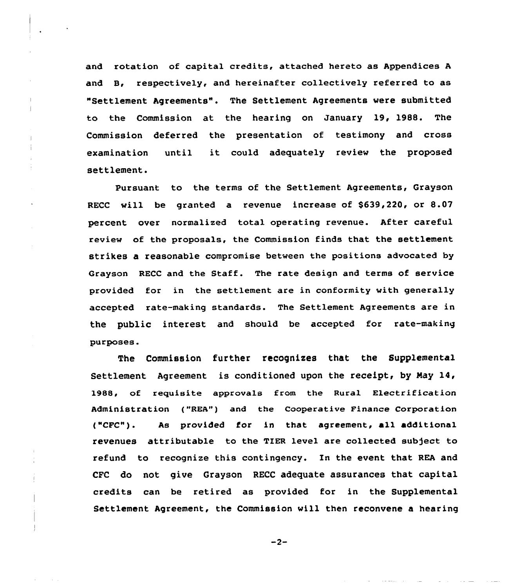and rotation of capital credits, attached hereto as Appendices <sup>A</sup> and B, respectively, and hereinafter collectively referred to as "Settlement Agreements". The Settlement Agreements were submitted to the Commission at the hearing on January l9, l988. The Commission deferred the presentation of testimony and cross examination until it could adequately review the proposed settlement.

Pursuant to the terms of the Settlement Agreements, Grayson RECC will be granted a revenue increase of \$639,220, or 8.07 percent over normalized total operating revenue. After careful review of the proposals, the Commission finds that the settlement strikes a reasonable compromise between the positions advocated by Grayson RECC and the Staff. The rate design and terms of service provided for in the settlement are in conformity with generally accepted rate-making standards. The Settlement Agreements are in the public interest and should be accepted for rate-making purposes.

The Commission further recognizes that the Supplemental Settlement Agreement is conditioned upon the receipt, by May  $14$ , 1988, of requisite approvals from the Rural Electrification Administration ("REA") and the Cooperative Finance Corporation ("CFC"). As provided for in that agreement, all additional revenues attributable to the TIER level are collected subject to refund to recognize this contingency. In the event that REA and CFC do not give Grayson RECC adequate assurances that capital credits can be retired as provided for in the Supplemental Settlement Agreement, the Commission will then reconvene a hearing

 $-2-$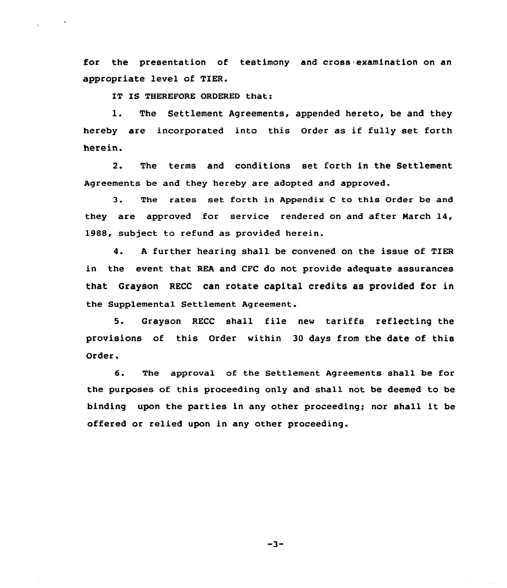for the presentation of testimony and cross examination on an appropriate level of TIER.

IT IS THEREFORE ORDERED that:

l. The Settlement Agreements, appended hereto, be and they hereby are incorporated into this Order as if fully set forth herein.

2. The terms and conditions set forth in the Settlement Agreements be and they hereby are adopted and approved.

3. The rates set forth in Appendix <sup>C</sup> to this Order be and they are approved for service rendered on and after March 14, 1988, subject to refund as provided herein.

4. <sup>A</sup> further hearing shall be convened on the issue of TIER in the event that REA and CFC do not provide adequate assurances that Grayson RECC can rotate capital credits as provided for in the Supplemental Settlement Agreement.

5. Grayson RECC shall file new tariffs reflecting the provisions of this Order within 30 days from the date of this Order.

6. The approval of the Settlement Agreements shall be for the purposes of this proceeding only and shall not be deemed to be binding upon the parties in any other proceeding; nor shall it be offered or relied upon in any other proceeding.

 $-3-$ 

 $\sim 10^{-1}$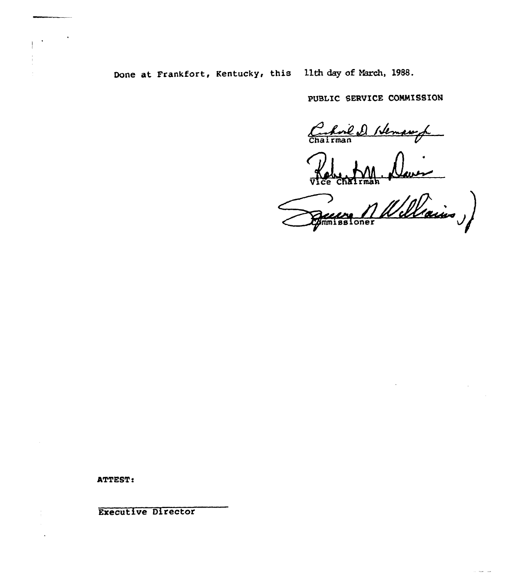# Done at Frankfort, Kentucky, this lith day of March, 1988.

PUBIIC SERVICE COMMISSION

Chairman Hemangh

Vice Chairman

missioner Nellain,

 $\sim$   $-$ 

**ATTEST:** 

Executive Director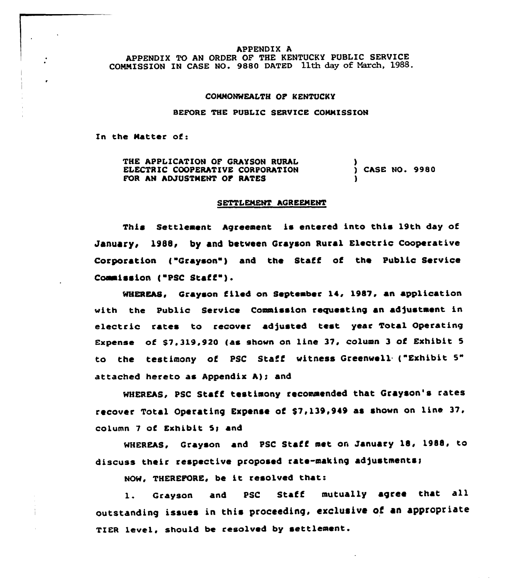#### APPENDIX A

APPENDIX TO AN ORDER OF THE KENTUCKY PUBLIC SERVICE COMMISSION IN CASE NO. 9880 DATED 11th day of March, 1988.

#### COMMONWEALTH OF KENTUCKY

## BEFORE THE PUBLIC SERVICE COMMISSION

In the Natter of:

THE APPLICATION OF GRAYSON RURAL ELECTRIC COOPERATIVE CORPORATION FOR AN ADJUSTMENT OF RATES ) ) CASE NO. 9980 )

#### SETTLENENT AGREEMENT

This Settlement Agreement is entered into this 19th day of January, 1988, by and between Grayson Rural Electric Cooperative Corporation ("Grayson") and the Staff of the Public Service Commission ("PSC Staff").

WHEREAS, Grayson filed on September 14, 1987, an application with the Public Service Commission requesting an adjustment in electric rates to recover adjusted test year Total Operating Expense of \$7,319,920 (as shown on line 37, column 3 of Exhibit 5 to the testimony of PSC Staff witness Greenwell {"Exhibit 5" attached hereto as Appendix  $A$ ); and

WHEREAS, PSC Staff testimony recommended that Grayson's rates recover Total Operating Expense of \$7,139,949 as shown on line 37, column 7 of Exhibit 5g and

WHEREAS, Grayson and PSC Staff met on January 18, 1988, to discuss their respective proposed rate-making adjustments;

NCN, THEREFORE, be it resolved that:

1. Grayson and PSC Staff mutually agree that all outstanding issues in this proceeding, exclusive of an appropriate TIER level, should be resolved by settlement.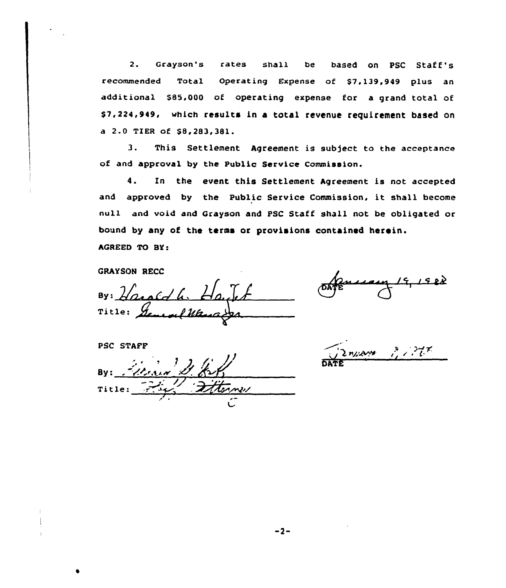2. Grayson's rates shall be based on PSC Staff's recommended Total Operating Expense of \$7.139,949 plus an additional \$85,000 of operating expense for a grand total of \$7,224,949, which results in a total revenue requirement based on a 2.0 TIER of \$8,283,381.

3. This Settlement Agreement is subject to the acceptance of and approval by the Public Service Commission.

4. In the event this Settlement Agreement is not accepted and approved by the Public Service Commission, it shall become null and void and Grayson and PSC Staff shall not be obligated or bound by any of the terms or provisions contained herein. AGREED TO BY:

GRAYSON RECC

 $By:Hackd$ . Title:  $\frac{y}{L}$ 

PSC STAFF

Title:  $\frac{1}{\sqrt{2\pi}}$ 

Znyam ? 1777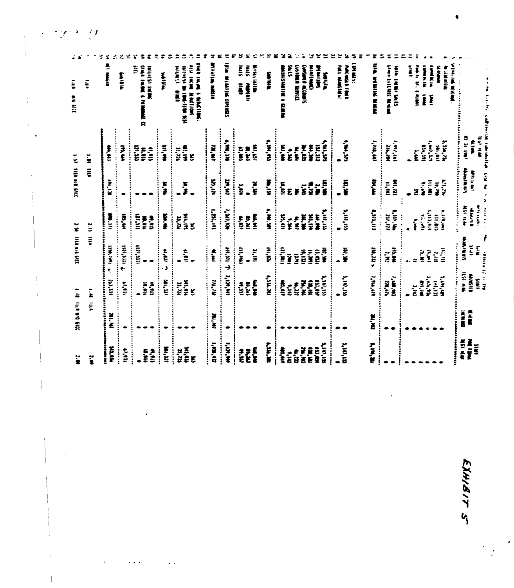| 誓                                                | <b>TIGERS OF SIGNAL</b> |                                   | 310,946,6111,672                                        |                                                                     | <b>1.37 1109 010 010</b>          |                                                | $\ddot{=}$<br><b>Big Eld</b>                                                                                                                                                                                                                     |
|--------------------------------------------------|-------------------------|-----------------------------------|---------------------------------------------------------|---------------------------------------------------------------------|-----------------------------------|------------------------------------------------|--------------------------------------------------------------------------------------------------------------------------------------------------------------------------------------------------------------------------------------------------|
| $\ddot{\ddot{\bm{x}}}$                           |                         | $m_{\rm H}$                       | vii a                                                   |                                                                     | $111$ $10$                        |                                                | Ę                                                                                                                                                                                                                                                |
| the bears.<br>m'm                                | <b>WI.M</b>             | min                               | <b>CENT AND A</b>                                       | W.in<br>l                                                           | SE.IM                             | 主とい                                            | $\frac{1}{2}$                                                                                                                                                                                                                                    |
| <br>m'n                                          | $\ddot{}}$              | $\ddot{a}$<br><b>ELEM</b>         | m,m                                                     | ith, di                                                             |                                   | ie, ex<br>$\ddot{\ddot{\cdot}}$                | <b>Elle I dian</b>                                                                                                                                                                                                                               |
| $\ddot{\ddot{i}}$<br>m.ni                        |                         | m, ali                            | $\frac{1}{12}$                                          | man<br>İ<br>N.N.A                                                   |                                   | וול'ננו<br>:<br>:<br>:<br>in'n                 | Ë<br><b>DEALERS CHEFFERE</b>                                                                                                                                                                                                                     |
| <br>$\ddot{u}$                                   |                         | :<br>:<br>:<br>tis <sup>1</sup>   |                                                         | <br>$\frac{1}{2}$                                                   |                                   | $\ddot{u}$                                     | <b>MARK INCHES</b>                                                                                                                                                                                                                               |
| m,m                                              |                         | $\frac{1}{2}$                     | <br>sian<br>J                                           | W.K<br>                                                             | $\vdots$<br>$\frac{1}{2}$         | <b>HI, MA</b><br>$\vdots$                      | <b>PISSING</b>                                                                                                                                                                                                                                   |
| $\frac{m_{\rm eff}}{m_{\rm eff}}$<br>:<br>:<br>£ |                         | <b>HI.IN</b><br><b>M.M</b><br>ŧ,  | aill<br>$\bullet$                                       | <b>WI.IM</b><br><b>M.RA</b><br>E                                    | $\ddot{x}$                        | $rac{6}{3}$<br><b>11,724</b><br>E              | 0点0 1点 重 一定変元11変元<br><b>International Control</b><br>医后心<br>i                                                                                                                                                                                    |
| $\mathbf{u}$ , $\mathbf{u}$<br>,,,,,,,,,,,       | <b>EN.IR</b>            | $\mathfrak{m}'$ $\mathfrak{m}'$   | in,                                                     | 1.791,191                                                           | <b>W.UA</b>                       | n,<br>E                                        | <b>RING BASE</b>                                                                                                                                                                                                                                 |
| <b>HA'MI'I</b>                                   |                         | <b>V.IN, MI</b>                   | M.MI T                                                  | NU'SK'I                                                             | m,m                               | <b>SHE.79</b>                                  | <b>CONTRACTS CONTRACTS</b>                                                                                                                                                                                                                       |
| a, a                                             |                         | n,n                               | in'in                                                   | :<br><b>ESPARE</b>                                                  | $\ddot{\ddot{\cdot}}$<br>ž        | <br>a,<br>E                                    | S IED<br>ē                                                                                                                                                                                                                                       |
| $\ddot{\tilde{\mathbf{r}}}$<br>E                 |                         | te a                              | u'n                                                     | in'n<br>IK'R                                                        | $\frac{\kappa}{\kappa}$           | <b>ESTER</b><br>in'n                           | <b>Filter</b><br><b>MINITED</b><br><b>HINKII</b>                                                                                                                                                                                                 |
| 1.111,18                                         |                         | 14.14.241                         | man                                                     | i<br>Nimi                                                           | W.I.N                             | $\ddot{H}$                                     | <b>RIGICAL</b>                                                                                                                                                                                                                                   |
| ;;<br>意思                                         |                         | おけい<br>ļ                          | $\alpha_{\rm eff}$<br>$\ddot{}}$                        | <b>Ki,en</b><br>                                                    | :::<br>in,                        | :<br>:<br>:<br>$rac{\varepsilon}{\varepsilon}$ | I BILENCIAL<br>e<br>F                                                                                                                                                                                                                            |
| $\ddot{\tilde{\mathbf{z}}}$                      |                         | in<br>E                           | ÿ                                                       | i.                                                                  | Ë                                 |                                                | en es                                                                                                                                                                                                                                            |
| u'n                                              |                         | tw'rd<br>u'n                      | itin<br>E                                               | W'N<br>a<br>E                                                       | ¥                                 | W.M<br>$\ddot{\bullet}$                        | <b>CIVIER DRIVI</b><br>Constant ACCARDS                                                                                                                                                                                                          |
|                                                  |                         | ter'es                            | $\ddot{w}$                                              | NI'IN                                                               | ii<br>III                         | <b>FE</b><br>FE                                | <b>TANK!</b>                                                                                                                                                                                                                                     |
| <b>Aivits</b><br>E                               |                         | <b>Saman</b><br><b>Ha'tes</b>     | $\ddot{\bullet}$<br>ite'n                               | <b>Alin, PX</b><br>in, m                                            | i<br>N                            | ut'in's                                        | <b>Numidia</b><br>MIJINE                                                                                                                                                                                                                         |
|                                                  |                         |                                   |                                                         |                                                                     |                                   |                                                | <b>THE CHANGE</b>                                                                                                                                                                                                                                |
| m,un.                                            |                         | <b>Alim, IM</b>                   | W.W                                                     | 3'10'33                                                             | <b>HE.F</b>                       | $\mathbf{r}$                                   | is and the second second the second second in the second second second in the second second second in the second second second second second second second second second second second second second second second second seco<br><b>PARTIES</b> |
| <b>ALIM, MI</b>                                  | $\sum_{i=1}^{n}$        | <b><i><u><b>ALLAN</b></u></i></b> | $\mathbf{m}, \mathbf{m}$                                | a, <sup>M</sup> ,u,                                                 | 笑主                                | 1,144,44                                       | VA SIBIR RAN                                                                                                                                                                                                                                     |
|                                                  |                         | $i$ and $m$ .<br><br>28,616       | <b>ES.RA</b><br>$\ddot{\phantom{a}}$<br>ă               | <b>THE SE</b><br><b>UN,PP</b>                                       | ur'm<br>$\ddot{a}$                | <b>Let, Let</b><br>224.244                     | <b>UID INGENERAL</b><br><b>THE LEW'S</b>                                                                                                                                                                                                         |
|                                                  |                         |                                   |                                                         | $\ddot{\ddot{\cdot}}$                                               |                                   |                                                |                                                                                                                                                                                                                                                  |
|                                                  |                         | ž                                 | $\approx$                                               | $\ddot{i}$                                                          | ž                                 | Ï                                              | <b>THE R. P. PERSON</b><br>$\frac{1}{2}$                                                                                                                                                                                                         |
|                                                  |                         | <b>BY'NE</b>                      | $\frac{1}{2}$<br>$\ddot{\mathbf{r}}$                    | $\ddot{a}$                                                          | $\sum_{i=1}^{n}$                  | $W^{\prime}$                                   | Ē                                                                                                                                                                                                                                                |
|                                                  |                         | <b>With 1</b>                     | ĭ                                                       | manu<br><b>CONFIDENT</b>                                            | in an<br>$\ddot{\ddot{\epsilon}}$ | 1.44, 1.1<br>$\frac{1}{2}$                     | <b>SIMPLE</b><br>Ě                                                                                                                                                                                                                               |
|                                                  |                         | <b>MAINTE</b>                     | $W^{\prime}$                                            | <b>B. Literal</b>                                                   | 42129                             | 2.130,754                                      | <b>Water</b><br><b>Williams</b>                                                                                                                                                                                                                  |
| ,,,,,,,,,,                                       | $\ddot{}$               | $\ddot{\ddot{\cdot}}$             | $\ddot{\ddot{\phantom{a}}}\,\cdots\,\ddot{\phantom{a}}$ | $\frac{1}{2}$                                                       |                                   |                                                | 941年ごよ 北五星:                                                                                                                                                                                                                                      |
| <b>THE INC</b><br><b>ASI NE</b>                  | N N N<br>黒太星            | 医单囊<br><b>Math</b>                | 4141815<br>$\tilde{t}$                                  | millin<br><b>Alternation</b>                                        | diaminate<br>电子可能                 | <b>CALLE</b><br>Î                              |                                                                                                                                                                                                                                                  |
| <b>SIN</b>                                       |                         | ŝ                                 | ł<br>$\frac{1}{k}$<br>age and the property of           | $\begin{bmatrix} 1 & 1 & 1 \\ 1 & 1 & 1 \\ 1 & 1 & 1 \end{bmatrix}$ | ¥                                 | <b>All Icl</b>                                 |                                                                                                                                                                                                                                                  |

e'  $\mathcal{L}(\mathcal{F})$  .

 $\ddot{\phantom{1}}$ 

 $\frac{1}{1}$ 

EXHIBIT S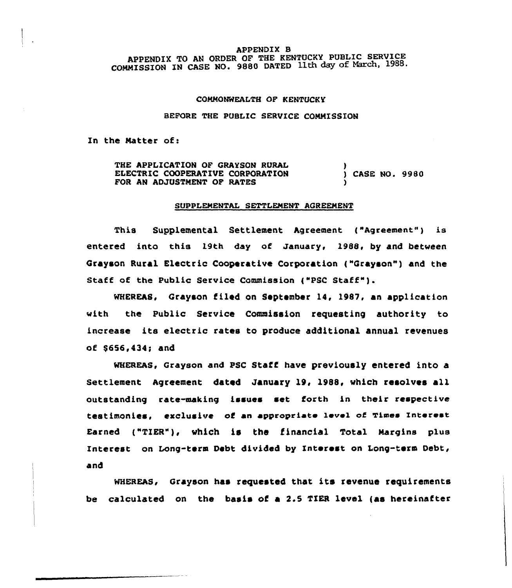#### APPENDIX B

APPENDIX TO AN ORDER OF THE KENTUCKY PUBLIC SERVICE COMMISSION IN CASE NO. 9880 DATED 11th day of March, 1988.

## COMMONWEALTH OF KENTUCKY

#### BEFORE THE PUBLIC SERVICE COMMISSION

In the Natter of:

THE APPLICATION OF GRAYSON RURAL ELECTRIC COOPERATIVE CORPORATION FOR AN ADJUSTMENT OF RATES ) ) CASE NO. 9980 )

#### SUPPLEMENTAL SETTLEMENT AGREEMENT

This Supplemental Settlement Agreement ("Agreement") is entered into this 19th day of January, 1988, by and between Grayson Rural Electric Cooperative Corporation ("Grayson") and the Staff of the Public Service Commission ("PSC Staff" ).

WHEREAS, Grayson filed on September 14, 1987, an application with the Public Service Commission requesting authority to increase its electric rates to produce additional annual revenues of \$656,434; and

MHEREAs, Grayson and psc staff have previously entered into a Settlement Agreement dated January 19, 1988, which resolves all outstanding rate-making issues set forth in their respective testimonies, exclusive of an appropriate level of Times Interest Earned ("TIER"), which is the financial Total Margins plus Interest on Long-term Debt divided by Interest on Long-term Debt, and

MHEREAs, Grayson has requested that its revenue requirements be calculated on the basis of a 2.5 TIER level (as hereinafter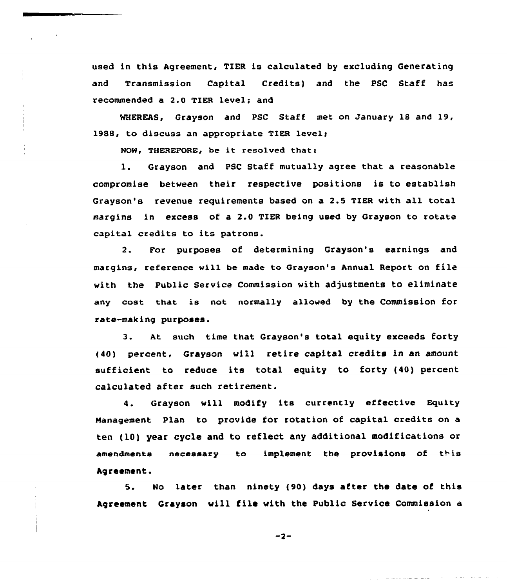used in this Agreement, TIER is calculated by excluding Generating and Transmission Capital Credits) and the PSC Staff has recommended a 2.0 TIER level; and

WHEREAS, Grayson and PSC Staff met on January 18 and 19, 1988, to discuss an appropriate TIER level;

NOW, THEREFORE, be it resolved that:

1. Grayson and PSC Staff mutually agree that <sup>a</sup> reasonable compromise between their respective positions is to establish Grayson's revenue requirements based on a 2.5 TIER with all total margins in excess of a 2.0 TIER being used by Grayson to rotate capital credits to its patrons.

2. For purposes of determining Grayson's earnings and margins, reference will be made to Grayson's Annual Report on file with the Public Service Commission with adjustments to eliminate any cost that is not normally allowed by the Commission for rate-making purposes.

3. At such time that, Grayson's total equity exceeds forty {40) percent, Grayson will retire capital credits in an amount sufficient to reduce its total equity to forty (40) percent calculated after such retirement.

4. Grayson will modify its currently effective Equity Management Plan to provide for rotation of capital credits on a ten (10) year cycle and to reflect any additional modifications or amendments necessary to implement the provisions of this Agreement.

5. No later than ninety (90) days after the date of this Agreement Grayson will file with the Public Service Commission a

 $-2-$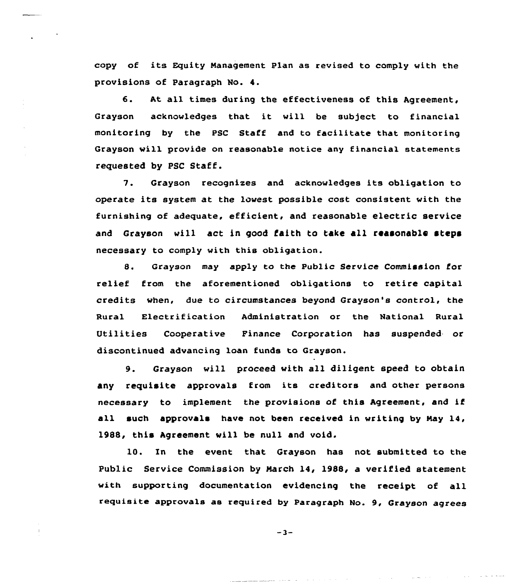copy af its Equity Management Plan as revised to comply with the provisions of Paragraph No. 4.

6. At all times during the effectiveness of this Agreement, Grayson acknowledges that it will be subject to financial monitoring by the PSC Staff and to facilitate that monitoring Grayson will provide on reasonable notice any financial statements requested by PSC Staff.

7. Grayson recognizes and acknowledges its obligation to operate its system at the lowest possible cost consistent with the furnishing of adequate, efficient, and reasonable electric service and Grayson will act in good faith to take all reasonable steps necessary to comply with this abligatian.

8. Grayson may apply to the Public Service Commission for relief from the aforementioned obligations to retire capital credits when, due to circumstances beyond Grayson's control, the Rural Electrification Administration or the National Rural Utilities Cooperative Finance Corporation has suspended or discontinued advancing loan funds to Grayson.

9. Grayson will proceed with all diligent speed to obtain any requisite appravals from its creditors and other persons necessary to implement the provisions of this Agreement, and if all such approvals have not been received in writing by Nay 14, 1988, this Agreement vill be null and void.

10. In the event that Grayson has not submitted to the Public Service Commission by March 14, 1988, a verified statement with supporting documentation evidencing the receipt of all requisite approvals as required by Paragraph No. 9, Grayson agrees

 $-3-$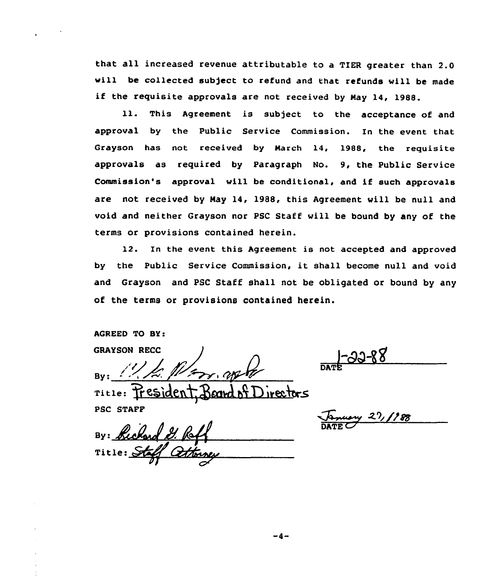that all increased revenue attributable to <sup>a</sup> TIER greater than 2.0 will be collected subject to refund and that refunds will be made if the requisite approvals are not received by Nay 14, 1988.

11. This Agreement is subject to the acceptance of and approval by the Public Service Commission. In the event that Grayson has not received by March 14, 1988, the requisite approvals as required by Paragraph No. 9, the Public Service Commission's approval will be conditional, and if such approvals are not received by May 14, 1988, this Agreement vill be null and void and neither Grayson nor PSC Staff will be bound by any of the terms or provisions contained herein.

12. In the event this Agreement is not accepted and approved by the Public Service Commission, it shall become null and void and Grayson and PSC Staff shall not be obligated or bound by any of the terms or provisions contained herein.

AGREED TO SY:

GRAYSON RBCC

 $-33-88$ 

TILLE: President Board of Directors PSC STAFF

By: Richard Title: Stap  $\boldsymbol{\rho}$  )

 $\frac{1}{\sqrt{2}}$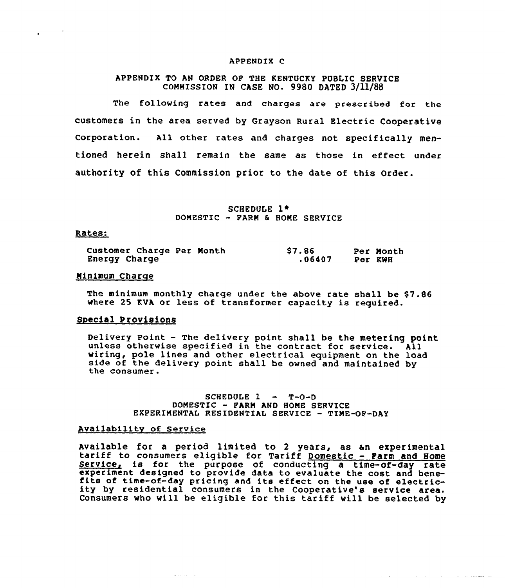#### APPENDIX C

## APPENDIX TO AN ORDER OF THE KENTUCKY PUBLIC SERVICE COMMISSION IN CASE NO. 9980 DATED 3/ll/88

The folloving rates and charges are prescribed for the customers in the area served by Grayson Rural Electric Cooperative Corporation. All other rates and charges not specifically mentioned herein shall remain the same as those in effect under authority of this Commission prior to the date of this Order.

> SCHEDULE 1<sup>\*</sup> DONESTIC — PARN 6 HOME SERVICE

## Rates:

| Customer Charge Per Month |  | \$7.86 |         | Per Month |
|---------------------------|--|--------|---------|-----------|
| Energy Charge             |  | .06407 | Per KWH |           |

## Minimum Charge

The minimum monthly charge under the above rate shall be \$7.86 vhere 25 KVA. or less of transformer capacity is required.

## Special Provisions

Delivery Point - The delivery point shall be the metering point<br>unless otherwise specified in the contract for service. All<br>wiring, pole lines and other electrical equipment on the load<br>side of the delivery point shall be

SCHEDULE 1 — T-0-D DONESTIC — PARN AND HONE SERVICE EXPERIMENTAL RESIDENTIAL SERVICE — TIME-OP-DAY

## AVailability of Service

Available for a period limited to 2 years, as an experimental<br>tariff to consumers eligible for Tariff <u>Domestic - Farm and Home</u><br>Service, is for the purpose of conducting a time-of-day rate experiment designed to provide data to evaluate the cost and bene-<br>fits of time-of-day pricing and its effect on the use of electric-<br>ity by residential consumers in the Cooperative's service area. ity by residential consumers in the Cooperative's service area.<br>Consumers who will be eligible for this tariff will be selected by

نظر المصادر المدير الأولى المدير المدير المدير المدير المدير المدير المدير المدير المدير المدير المدير المدير

الدارين الانتقالات والمتدلسة فللمراقب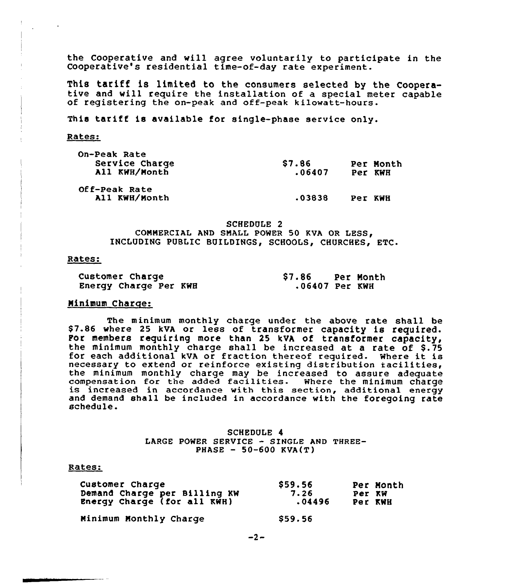the Cooperative and will agree voluntarily to participate in the Cooperative's residential time-of-day rate experiment.

This tariff is limited to the consumers selected by the Coopera-<br>tive and will require the installation of a special meter capable<br>of registering the on-peak and off-peak kilowatt-hours.

This tariff is available for single-phase service only.

Rates:

| On-Peak Rate<br>Service Charge<br>All KWH/Month | <b>S7.86</b><br>.06407 | Per KWH | Per Month |
|-------------------------------------------------|------------------------|---------|-----------|
| Off-Peak Rate<br>All KWH/Month                  | .03838                 | Per KWH |           |

SCHEDULE 2 COMMERCIAL AND SMALL POWER 50 KVA OR INCLUDING PUBLIC BUILDINGS, SCHOOLS, CHURCHES, ETC.

## Rates:

| Customer Charge       | \$7.86         | Per Month |
|-----------------------|----------------|-----------|
| Energy Charge Per KWH | .06407 Per KWH |           |

## Minimum Charge:

The minimum monthly charge under the above rate shall be \$ 7.86 where 25 kVA or less of transformer capacity is required. Por members requiring more than 25 kVA of transformer capacity, the minimum monthly charge shall be increased at a rate of \$.75 for each additional kVA or fraction thereof required. Where it is necessary to extend or reinforce existing distribution facilities, the minimum monthly charge may be increased to assure adequate compensation for the added facilities. Where the minimum charge is increased in accordance with this section, additional energy and demand shall be included in accordance with the foregoing rate schedule.

> SCHEDULE 4 LARGE POWER SERVICE - SINGLE AND THREE-PHASE — 50-600 KVA(T)

## Rates:

| Customer Charge              | \$59.56 | Per Month |
|------------------------------|---------|-----------|
| Demand Charge per Billing KW | 7.26    | Per KW    |
| Energy Charge (for all KWH)  | .04496  | Per KWH   |
| Minimum Monthly Charge       | \$59.56 |           |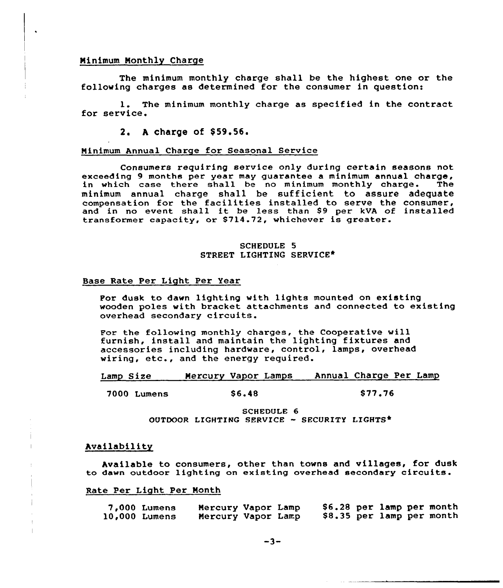## Ninimum Monthly Charge

The minimum monthly charge shall be the highest one or the following charges as determined for the consumer in question:

1. The minimum monthly charge as specified in the contract for service.

2. A charge of \$59.56.

#### Minimum Annual Charge for Seasonal Service

Consumers requiring service only during certain seasons not exceeding 9 months per year may guarantee a minimum annual charge,<br>in which case there shall be no minimum monthly charge. The in which case there shall be no minimum monthly charge. minimum annual charge shall be sufficient to assure adequate compensation for the faci1ities installed to serve the consumer, compensation for the facilities installed to serve the consumer<br>and in no event shall it be less than \$9 per kVA of installe transformer capacity, or \$714.72, whichever is greater

## SCHEDULE 5 STREET LIGHTING SERVICE\*

### Base Rate Per Light Per Year

For dusk to dawn lighting with lights mounted on existing wooden poles with bracket attachments and connected to existing overhead secondary circuits.

For the following monthly charges, the Cooperative will furnish, install and maintain the lighting fixtures and accessories including hardware, control, lamps, overhead wiring, etc., and the energy required.

Lamp Size Mercury Vapor Lamps Annual Charge Per Lamp

<sup>7000</sup> Lumens \$ 6.48 \$ <sup>77</sup> '6

SCHEDULE 6 OUTDOOR LICHTIRQ SERVICE - SECURITY LIGHTS\*

## Availability

Available to consumers, other than towns and villages, for dusk to dawn outdoor lighting on existing overhead secondary circuits.

#### Rate Per Light Per Month

| 7,000 Lumens  | Mercury Vapor Lamp |  | \$6.28 per lamp per month |  |                           |
|---------------|--------------------|--|---------------------------|--|---------------------------|
| 10,000 Lumens | Mercury Vapor Lamp |  |                           |  | \$8.35 per lamp per month |